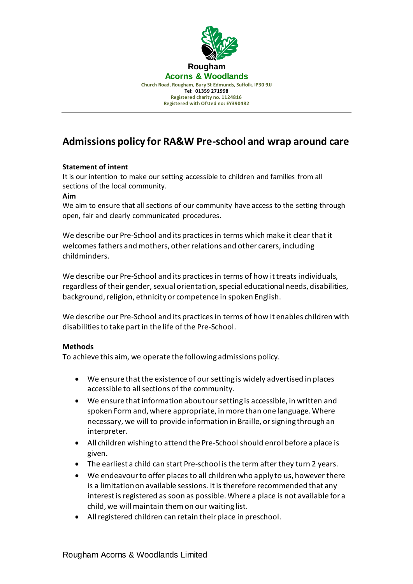

# **Admissions policy for RA&W Pre-school and wrap around care**

## **Statement of intent**

It is our intention to make our setting accessible to children and families from all sections of the local community.

### **Aim**

We aim to ensure that all sections of our community have access to the setting through open, fair and clearly communicated procedures.

We describe our Pre-School and its practices in terms which make it clear that it welcomes fathers and mothers, other relations and other carers, including childminders.

We describe our Pre-School and its practices in terms of how it treats individuals, regardless of their gender, sexual orientation, special educational needs, disabilities, background, religion, ethnicity or competence in spoken English.

We describe our Pre-School and its practices in terms of how it enables children with disabilities to take part in the life of the Pre-School.

### **Methods**

To achieve this aim, we operate the following admissions policy.

- We ensure that the existence of our setting is widely advertised in places accessible to all sections of the community.
- We ensure that information about our setting is accessible, in written and spoken Form and, where appropriate, in more than one language. Where necessary, we will to provide information in Braille, or signing through an interpreter.
- All children wishing to attend the Pre-School should enrol before a place is given.
- The earliest a child can start Pre-school is the term after they turn 2 years.
- We endeavour to offer places to all children who apply to us, however there is a limitation on available sessions. It is therefore recommended that any interest is registered as soon as possible. Where a place is not available for a child, we will maintain them on our waiting list.
- All registered children can retain their place in preschool.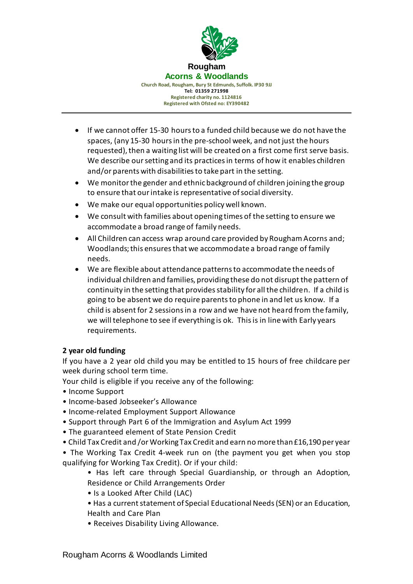

- If we cannot offer 15-30 hours to a funded child because we do not have the spaces, (any 15-30 hours in the pre-school week, and not just the hours requested), then a waiting list will be created on a first come first serve basis. We describe our setting and its practices in terms of how it enables children and/or parents with disabilities to take part in the setting.
- We monitor the gender and ethnic background of children joining the group to ensure that our intake is representative of social diversity.
- We make our equal opportunities policy well known.
- We consult with families about opening times of the setting to ensure we accommodate a broad range of family needs.
- All Children can access wrap around care provided by Rougham Acorns and; Woodlands; this ensures that we accommodate a broad range of family needs.
- We are flexible about attendance patterns to accommodate the needs of individual children and families, providing these do not disrupt the pattern of continuity in the setting that provides stability for all the children. If a child is going to be absent we do require parents to phone in and let us know. If a child is absent for 2 sessions in a row and we have not heard from the family, we will telephone to see if everything is ok. This is in line with Early years requirements.

## **2 year old funding**

If you have a 2 year old child you may be entitled to 15 hours of free childcare per week during school term time.

Your child is eligible if you receive any of the following:

- Income Support
- Income-based Jobseeker's Allowance
- Income-related Employment Support Allowance
- Support through Part 6 of the Immigration and Asylum Act 1999
- The guaranteed element of State Pension Credit
- Child Tax Credit and /or Working Tax Credit and earn no more than £16,190 per year

• The Working Tax Credit 4-week run on (the payment you get when you stop qualifying for Working Tax Credit). Or if your child:

- Has left care through Special Guardianship, or through an Adoption, Residence or Child Arrangements Order
- Is a Looked After Child (LAC)
- Has a current statement of Special Educational Needs (SEN) or an Education, Health and Care Plan
- Receives Disability Living Allowance.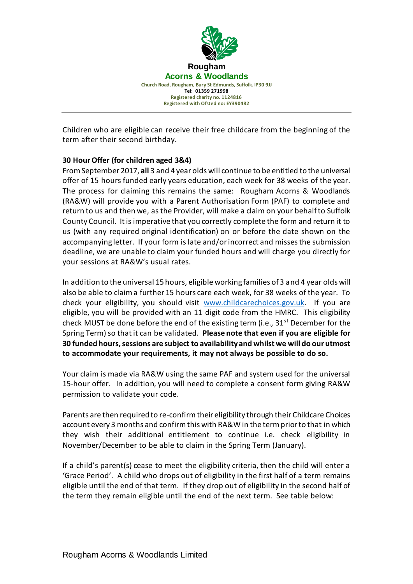

Children who are eligible can receive their free childcare from the beginning of the term after their second birthday.

## **30 Hour Offer (for children aged 3&4)**

From September 2017, **all** 3 and 4 year olds will continue to be entitled to the universal offer of 15 hours funded early years education, each week for 38 weeks of the year. The process for claiming this remains the same: Rougham Acorns & Woodlands (RA&W) will provide you with a Parent Authorisation Form (PAF) to complete and return to us and then we, as the Provider, will make a claim on your behalf to Suffolk County Council. It is imperative that you correctly complete the form and return it to us (with any required original identification) on or before the date shown on the accompanying letter. If your form is late and/or incorrect and misses the submission deadline, we are unable to claim your funded hours and will charge you directly for your sessions at RA&W's usual rates.

In addition to the universal 15 hours, eligible working families of 3 and 4 year olds will also be able to claim a further 15 hours care each week, for 38 weeks of the year. To check your eligibility, you should visit [www.childcarechoices.gov.uk.](http://www.childcarechoices.gov.uk/) If you are eligible, you will be provided with an 11 digit code from the HMRC. This eligibility check MUST be done before the end of the existing term (i.e.,  $31^{st}$  December for the Spring Term) so that it can be validated. **Please note that even if you are eligible for 30 funded hours, sessions are subject to availability and whilst we will do our utmost to accommodate your requirements, it may not always be possible to do so.**

Your claim is made via RA&W using the same PAF and system used for the universal 15-hour offer. In addition, you will need to complete a consent form giving RA&W permission to validate your code.

Parents are then required to re-confirm their eligibility through their Childcare Choices account every 3 months and confirm this with RA&W in the term prior to that in which they wish their additional entitlement to continue i.e. check eligibility in November/December to be able to claim in the Spring Term (January).

If a child's parent(s) cease to meet the eligibility criteria, then the child will enter a 'Grace Period'. A child who drops out of eligibility in the first half of a term remains eligible until the end of that term. If they drop out of eligibility in the second half of the term they remain eligible until the end of the next term. See table below: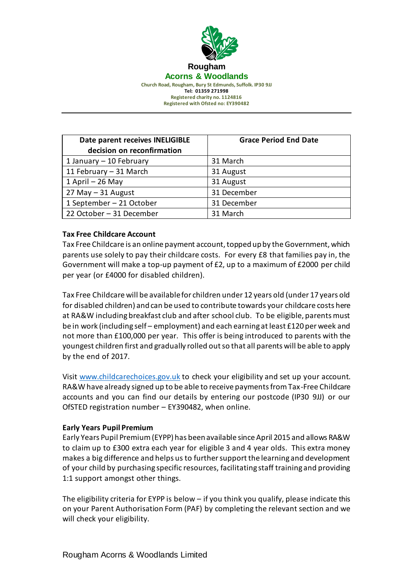

**Date parent receives INELIGIBLE decision on reconfirmation Grace Period End Date** 1 January – 10 February 31 March 11 February – 31 March | 31 August 1 April – 26 May 31 August  $27$  May  $-31$  August  $\vert$  31 December 1 September – 21 October | 31 December 22 October – 31 December | 31 March

## **Tax Free Childcare Account**

Tax Free Childcare is an online payment account, topped up by the Government, which parents use solely to pay their childcare costs. For every £8 that families pay in, the Government will make a top-up payment of £2, up to a maximum of £2000 per child per year (or £4000 for disabled children).

Tax Free Childcare will be available for children under 12 years old (under 17 years old for disabled children) and can be used to contribute towards your childcare costs here at RA&W including breakfast club and after school club. To be eligible, parents must be in work (including self – employment) and each earning at least £120 per week and not more than £100,000 per year. This offer is being introduced to parents with the youngest children first and gradually rolled out so that all parents will be able to apply by the end of 2017.

Visit [www.childcarechoices.gov.uk](http://www.childcarechoices.gov.uk/) to check your eligibility and set up your account. RA&W have already signed up to be able to receive payments from Tax-Free Childcare accounts and you can find our details by entering our postcode (IP30 9JJ) or our OfSTED registration number – EY390482, when online.

### **Early Years Pupil Premium**

Early Years Pupil Premium (EYPP) has been available since April 2015 and allows RA&W to claim up to £300 extra each year for eligible 3 and 4 year olds. This extra money makes a big difference and helps us to further support the learning and development of your child by purchasing specific resources, facilitating staff training and providing 1:1 support amongst other things.

The eligibility criteria for EYPP is below – if you think you qualify, please indicate this on your Parent Authorisation Form (PAF) by completing the relevant section and we will check your eligibility.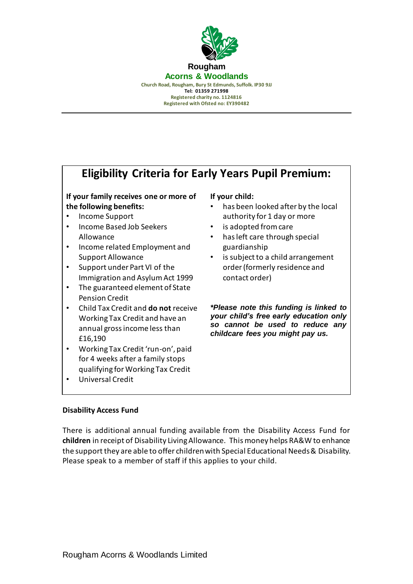

# **Eligibility Criteria for Early Years Pupil Premium:**

**If your family receives one or more of the following benefits:**

- Income Support
- Income Based Job Seekers Allowance
- Income related Employment and Support Allowance
- Support under Part VI of the Immigration and Asylum Act 1999
- The guaranteed element of State Pension Credit
- Child Tax Credit and **do not** receive Working Tax Credit and have an annual gross income less than £16,190
- Working Tax Credit 'run-on', paid for 4 weeks after a family stops qualifying for Working Tax Credit
- Universal Credit

### **If your child:**

- has been looked after by the local authority for 1 day or more
- is adopted from care
- has left care through special guardianship
- is subject to a child arrangement order (formerly residence and contact order)

*\*Please note this funding is linked to your child's free early education only so cannot be used to reduce any childcare fees you might pay us.*

## **Disability Access Fund**

There is additional annual funding available from the Disability Access Fund for **children** in receipt of Disability Living Allowance. This money helps RA&W to enhance the support they are able to offer children with Special Educational Needs & Disability. Please speak to a member of staff if this applies to your child.